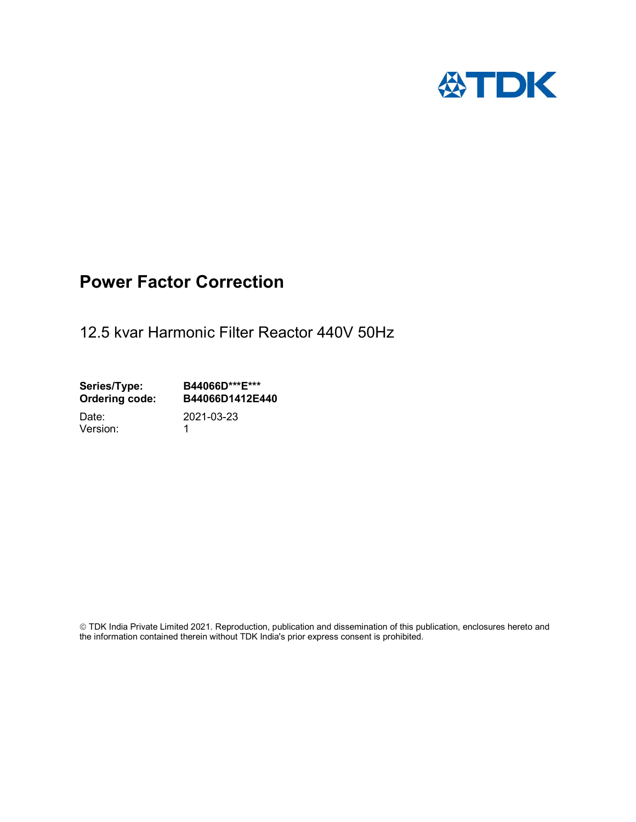

# Power Factor Correction

12.5 kvar Harmonic Filter Reactor 440V 50Hz

Series/Type: B44066D\*\*\*E\*\*\*<br>Ordering code: B44066D1412E4 B44066D1412E440

Version: 1

Date: 2021-03-23

 TDK India Private Limited 2021. Reproduction, publication and dissemination of this publication, enclosures hereto and the information contained therein without TDK India's prior express consent is prohibited.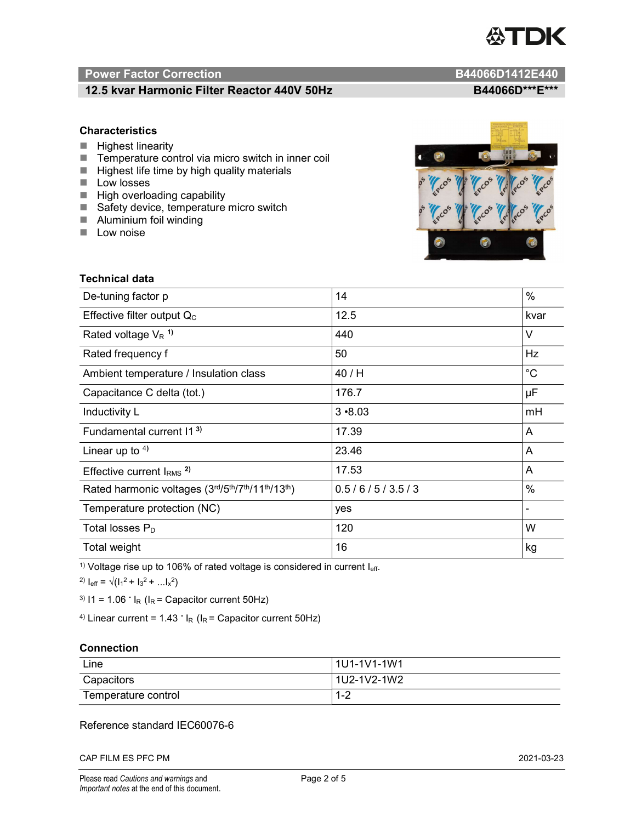

# Power Factor Correction and Content of Content of Content of Content of Content of Content of Content of Content of Content of Content of Content of Content of Content of Content of Content of Content of Content of Content

# 12.5 kvar Harmonic Filter Reactor 440V 50Hz BA4066D\*\*\*E\*\*\*

### **Characteristics**

- $H$  Highest linearity
- Temperature control via micro switch in inner coil
- $\blacksquare$  Highest life time by high quality materials
- **Low** losses
- $\blacksquare$  High overloading capability
- Safety device, temperature micro switch
- **Aluminium foil winding**
- **Low noise**

Technical data



| De-tuning factor p                              | 14            | $\%$        |
|-------------------------------------------------|---------------|-------------|
| Effective filter output $Q_C$                   | 12.5          | kvar        |
| Rated voltage $V_R$ <sup>1)</sup>               | 440           | V           |
| Rated frequency f                               | 50            | Hz          |
| Ambient temperature / Insulation class          | 40 / H        | $^{\circ}C$ |
| Capacitance C delta (tot.)                      | 176.7         | μF          |
| Inductivity L                                   | $3 - 8.03$    | mH          |
| Fundamental current 11 <sup>3)</sup>            | 17.39         | A           |
| Linear up to $4$ )                              | 23.46         | A           |
| Effective current $IRMS$ <sup>2)</sup>          | 17.53         | A           |
| Rated harmonic voltages (3rd/5th/7th/11th/13th) | 0.5/6/5/3.5/3 | $\%$        |
| Temperature protection (NC)                     | yes           |             |
| Total losses P <sub>D</sub>                     | 120           | W           |
| Total weight                                    | 16<br>kg      |             |

<sup>1)</sup> Voltage rise up to 106% of rated voltage is considered in current  $I_{\text{eff}}$ .

<sup>2)</sup>  $I_{eff} = \sqrt{(I_1^2 + I_3^2 + ... I_x^2)}$ 

<sup>3)</sup>  $11 = 1.06$   $\cdot$   $I_R$  ( $I_R$  = Capacitor current 50Hz)

<sup>4)</sup> Linear current =  $1.43$   $\cdot$  I<sub>R</sub> (I<sub>R</sub> = Capacitor current 50Hz)

#### **Connection**

| Line                | l 1U1-1V1-1W1 |
|---------------------|---------------|
| Capacitors          | l 1U2-1V2-1W2 |
| Temperature control | 1 O<br>ے- ا   |

# Reference standard IEC60076-6

CAP FILM ES PFC PM 2021-03-23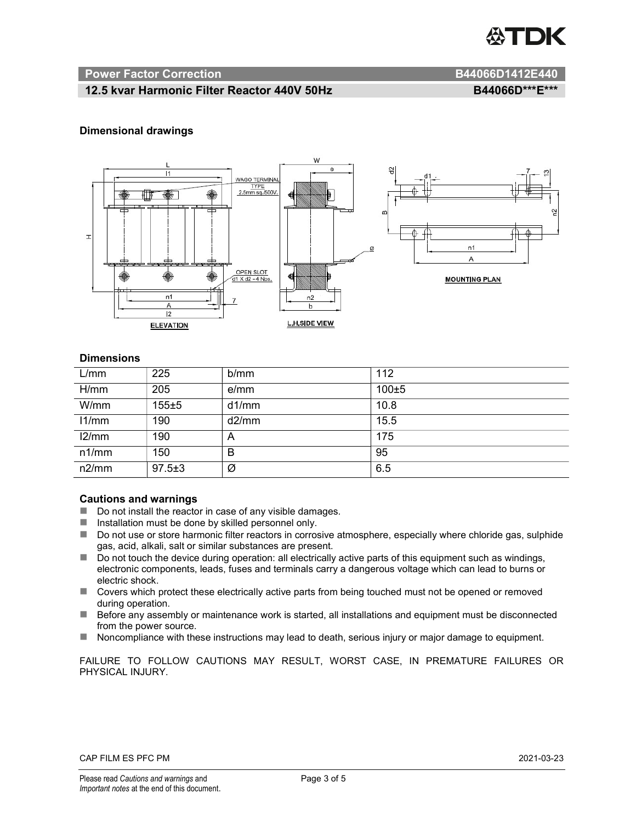

#### Power Factor Correction **B44066D1412E440**

### 12.5 kvar Harmonic Filter Reactor 440V 50Hz BA4066D\*\*\*E\*\*\*

#### Dimensional drawings



#### **Dimensions**

| L/mm  | 225          | b/mm  | 112       |
|-------|--------------|-------|-----------|
| H/mm  | 205          | e/mm  | $100\pm5$ |
| W/mm  | $155 + 5$    | d1/mm | 10.8      |
| 11/mm | 190          | d2/mm | 15.5      |
| 12/mm | 190          | A     | 175       |
| n1/mm | 150          | В     | 95        |
| n2/mm | $97.5 \pm 3$ | Ø     | 6.5       |

#### Cautions and warnings

- Do not install the reactor in case of any visible damages.
- Installation must be done by skilled personnel only.
- Do not use or store harmonic filter reactors in corrosive atmosphere, especially where chloride gas, sulphide gas, acid, alkali, salt or similar substances are present.
- Do not touch the device during operation: all electrically active parts of this equipment such as windings, electronic components, leads, fuses and terminals carry a dangerous voltage which can lead to burns or electric shock.
- Covers which protect these electrically active parts from being touched must not be opened or removed during operation.
- Before any assembly or maintenance work is started, all installations and equipment must be disconnected from the power source.
- Noncompliance with these instructions may lead to death, serious injury or major damage to equipment.

FAILURE TO FOLLOW CAUTIONS MAY RESULT, WORST CASE, IN PREMATURE FAILURES OR PHYSICAL INJURY.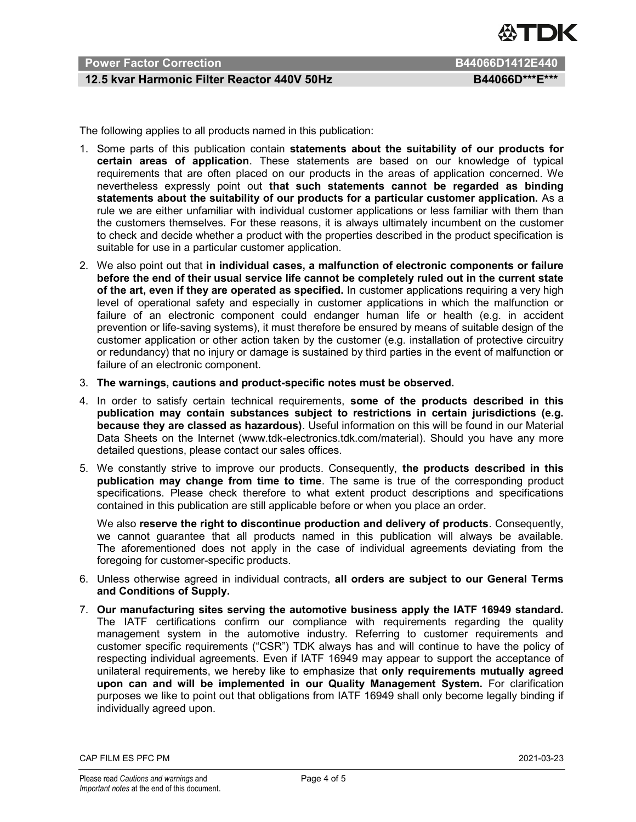

# Power Factor Correction **B644066D1412E440**

### 12.5 kvar Harmonic Filter Reactor 440V 50Hz BA4066D\*\*\*E\*\*\*

The following applies to all products named in this publication:

- 1. Some parts of this publication contain statements about the suitability of our products for certain areas of application. These statements are based on our knowledge of typical requirements that are often placed on our products in the areas of application concerned. We nevertheless expressly point out that such statements cannot be regarded as binding statements about the suitability of our products for a particular customer application. As a rule we are either unfamiliar with individual customer applications or less familiar with them than the customers themselves. For these reasons, it is always ultimately incumbent on the customer to check and decide whether a product with the properties described in the product specification is suitable for use in a particular customer application.
- 2. We also point out that in individual cases, a malfunction of electronic components or failure before the end of their usual service life cannot be completely ruled out in the current state of the art, even if they are operated as specified. In customer applications requiring a very high level of operational safety and especially in customer applications in which the malfunction or failure of an electronic component could endanger human life or health (e.g. in accident prevention or life-saving systems), it must therefore be ensured by means of suitable design of the customer application or other action taken by the customer (e.g. installation of protective circuitry or redundancy) that no injury or damage is sustained by third parties in the event of malfunction or failure of an electronic component.
- 3. The warnings, cautions and product-specific notes must be observed.
- 4. In order to satisfy certain technical requirements, some of the products described in this publication may contain substances subject to restrictions in certain jurisdictions (e.g. because they are classed as hazardous). Useful information on this will be found in our Material Data Sheets on the Internet (www.tdk-electronics.tdk.com/material). Should you have any more detailed questions, please contact our sales offices.
- 5. We constantly strive to improve our products. Consequently, the products described in this publication may change from time to time. The same is true of the corresponding product specifications. Please check therefore to what extent product descriptions and specifications contained in this publication are still applicable before or when you place an order.

We also reserve the right to discontinue production and delivery of products. Consequently, we cannot guarantee that all products named in this publication will always be available. The aforementioned does not apply in the case of individual agreements deviating from the foregoing for customer-specific products.

- 6. Unless otherwise agreed in individual contracts, all orders are subject to our General Terms and Conditions of Supply.
- 7. Our manufacturing sites serving the automotive business apply the IATF 16949 standard. The IATF certifications confirm our compliance with requirements regarding the quality management system in the automotive industry. Referring to customer requirements and customer specific requirements ("CSR") TDK always has and will continue to have the policy of respecting individual agreements. Even if IATF 16949 may appear to support the acceptance of unilateral requirements, we hereby like to emphasize that only requirements mutually agreed upon can and will be implemented in our Quality Management System. For clarification purposes we like to point out that obligations from IATF 16949 shall only become legally binding if individually agreed upon.